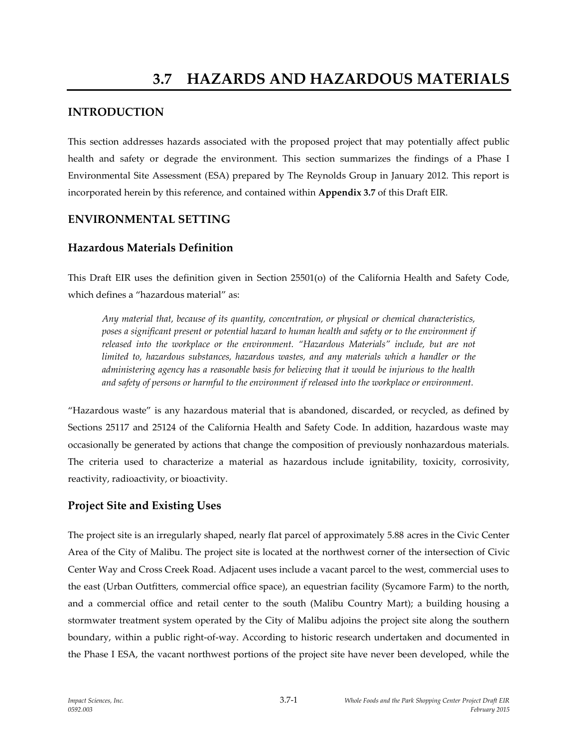# **INTRODUCTION**

This section addresses hazards associated with the proposed project that may potentially affect public health and safety or degrade the environment. This section summarizes the findings of a Phase I Environmental Site Assessment (ESA) prepared by The Reynolds Group in January 2012. This report is incorporated herein by this reference, and contained within **Appendix 3.7** of this Draft EIR.

# **ENVIRONMENTAL SETTING**

# **Hazardous Materials Definition**

This Draft EIR uses the definition given in Section 25501(o) of the California Health and Safety Code, which defines a "hazardous material" as:

*Any material that, because of its quantity, concentration, or physical or chemical characteristics, poses a significant present or potential hazard to human health and safety or to the environment if released into the workplace or the environment. "Hazardous Materials" include, but are not limited to, hazardous substances, hazardous wastes, and any materials which a handler or the administering agency has a reasonable basis for believing that it would be injurious to the health and safety of persons or harmful to the environment if released into the workplace or environment.*

"Hazardous waste" is any hazardous material that is abandoned, discarded, or recycled, as defined by Sections 25117 and 25124 of the California Health and Safety Code. In addition, hazardous waste may occasionally be generated by actions that change the composition of previously nonhazardous materials. The criteria used to characterize a material as hazardous include ignitability, toxicity, corrosivity, reactivity, radioactivity, or bioactivity.

# **Project Site and Existing Uses**

The project site is an irregularly shaped, nearly flat parcel of approximately 5.88 acres in the Civic Center Area of the City of Malibu. The project site is located at the northwest corner of the intersection of Civic Center Way and Cross Creek Road. Adjacent uses include a vacant parcel to the west, commercial uses to the east (Urban Outfitters, commercial office space), an equestrian facility (Sycamore Farm) to the north, and a commercial office and retail center to the south (Malibu Country Mart); a building housing a stormwater treatment system operated by the City of Malibu adjoins the project site along the southern boundary, within a public right-of-way. According to historic research undertaken and documented in the Phase I ESA, the vacant northwest portions of the project site have never been developed, while the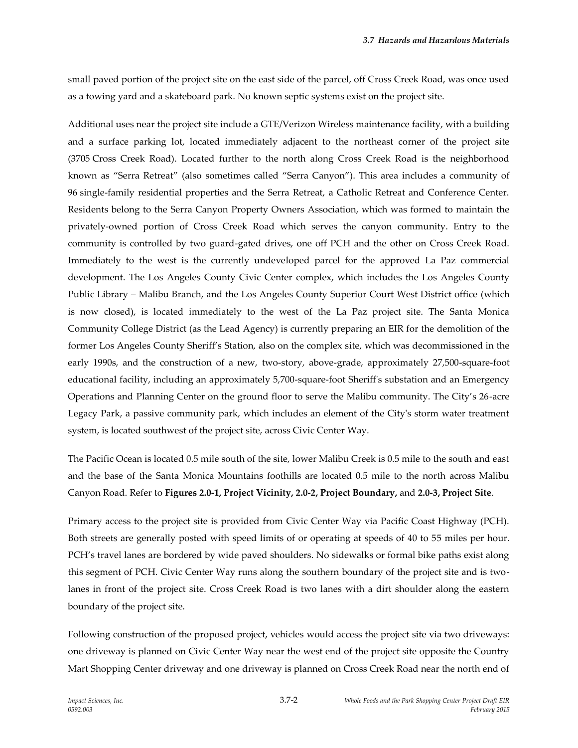small paved portion of the project site on the east side of the parcel, off Cross Creek Road, was once used as a towing yard and a skateboard park. No known septic systems exist on the project site.

Additional uses near the project site include a GTE/Verizon Wireless maintenance facility, with a building and a surface parking lot, located immediately adjacent to the northeast corner of the project site (3705 Cross Creek Road). Located further to the north along Cross Creek Road is the neighborhood known as "Serra Retreat" (also sometimes called "Serra Canyon"). This area includes a community of 96 single-family residential properties and the Serra Retreat, a Catholic Retreat and Conference Center. Residents belong to the Serra Canyon Property Owners Association, which was formed to maintain the privately-owned portion of Cross Creek Road which serves the canyon community. Entry to the community is controlled by two guard-gated drives, one off PCH and the other on Cross Creek Road. Immediately to the west is the currently undeveloped parcel for the approved La Paz commercial development. The Los Angeles County Civic Center complex, which includes the Los Angeles County Public Library – Malibu Branch, and the Los Angeles County Superior Court West District office (which is now closed), is located immediately to the west of the La Paz project site. The Santa Monica Community College District (as the Lead Agency) is currently preparing an EIR for the demolition of the former Los Angeles County Sheriff's Station, also on the complex site, which was decommissioned in the early 1990s, and the construction of a new, two-story, above-grade, approximately 27,500-square-foot educational facility, including an approximately 5,700-square-foot Sheriff's substation and an Emergency Operations and Planning Center on the ground floor to serve the Malibu community. The City's 26-acre Legacy Park, a passive community park, which includes an element of the City's storm water treatment system, is located southwest of the project site, across Civic Center Way.

The Pacific Ocean is located 0.5 mile south of the site, lower Malibu Creek is 0.5 mile to the south and east and the base of the Santa Monica Mountains foothills are located 0.5 mile to the north across Malibu Canyon Road. Refer to **Figures 2.0-1, Project Vicinity, 2.0-2, Project Boundary,** and **2.0-3, Project Site**.

Primary access to the project site is provided from Civic Center Way via Pacific Coast Highway (PCH). Both streets are generally posted with speed limits of or operating at speeds of 40 to 55 miles per hour. PCH's travel lanes are bordered by wide paved shoulders. No sidewalks or formal bike paths exist along this segment of PCH. Civic Center Way runs along the southern boundary of the project site and is twolanes in front of the project site. Cross Creek Road is two lanes with a dirt shoulder along the eastern boundary of the project site.

Following construction of the proposed project, vehicles would access the project site via two driveways: one driveway is planned on Civic Center Way near the west end of the project site opposite the Country Mart Shopping Center driveway and one driveway is planned on Cross Creek Road near the north end of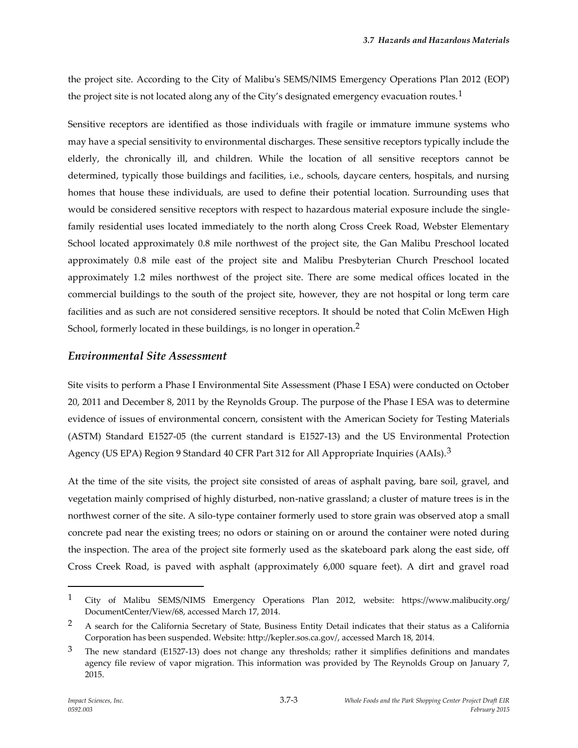the project site. According to the City of Malibu's SEMS/NIMS Emergency Operations Plan 2012 (EOP) the project site is not located along any of the City's designated emergency evacuation routes.<sup>1</sup>

Sensitive receptors are identified as those individuals with fragile or immature immune systems who may have a special sensitivity to environmental discharges. These sensitive receptors typically include the elderly, the chronically ill, and children. While the location of all sensitive receptors cannot be determined, typically those buildings and facilities, i.e., schools, daycare centers, hospitals, and nursing homes that house these individuals, are used to define their potential location. Surrounding uses that would be considered sensitive receptors with respect to hazardous material exposure include the singlefamily residential uses located immediately to the north along Cross Creek Road, Webster Elementary School located approximately 0.8 mile northwest of the project site, the Gan Malibu Preschool located approximately 0.8 mile east of the project site and Malibu Presbyterian Church Preschool located approximately 1.2 miles northwest of the project site. There are some medical offices located in the commercial buildings to the south of the project site, however, they are not hospital or long term care facilities and as such are not considered sensitive receptors. It should be noted that Colin McEwen High School, formerly located in these buildings, is no longer in operation.<sup>2</sup>

### *Environmental Site Assessment*

Site visits to perform a Phase I Environmental Site Assessment (Phase I ESA) were conducted on October 20, 2011 and December 8, 2011 by the Reynolds Group. The purpose of the Phase I ESA was to determine evidence of issues of environmental concern, consistent with the American Society for Testing Materials (ASTM) Standard E1527-05 (the current standard is E1527-13) and the US Environmental Protection Agency (US EPA) Region 9 Standard 40 CFR Part 312 for All Appropriate Inquiries (AAIs).<sup>3</sup>

At the time of the site visits, the project site consisted of areas of asphalt paving, bare soil, gravel, and vegetation mainly comprised of highly disturbed, non-native grassland; a cluster of mature trees is in the northwest corner of the site. A silo-type container formerly used to store grain was observed atop a small concrete pad near the existing trees; no odors or staining on or around the container were noted during the inspection. The area of the project site formerly used as the skateboard park along the east side, off Cross Creek Road, is paved with asphalt (approximately 6,000 square feet). A dirt and gravel road

<sup>1</sup> City of Malibu SEMS/NIMS Emergency Operations Plan 2012, website: https://www.malibucity.org/ DocumentCenter/View/68, accessed March 17, 2014.

<sup>&</sup>lt;sup>2</sup> A search for the California Secretary of State, Business Entity Detail indicates that their status as a California Corporation has been suspended. Website: http://kepler.sos.ca.gov/, accessed March 18, 2014.

<sup>&</sup>lt;sup>3</sup> The new standard (E1527-13) does not change any thresholds; rather it simplifies definitions and mandates agency file review of vapor migration. This information was provided by The Reynolds Group on January 7, 2015.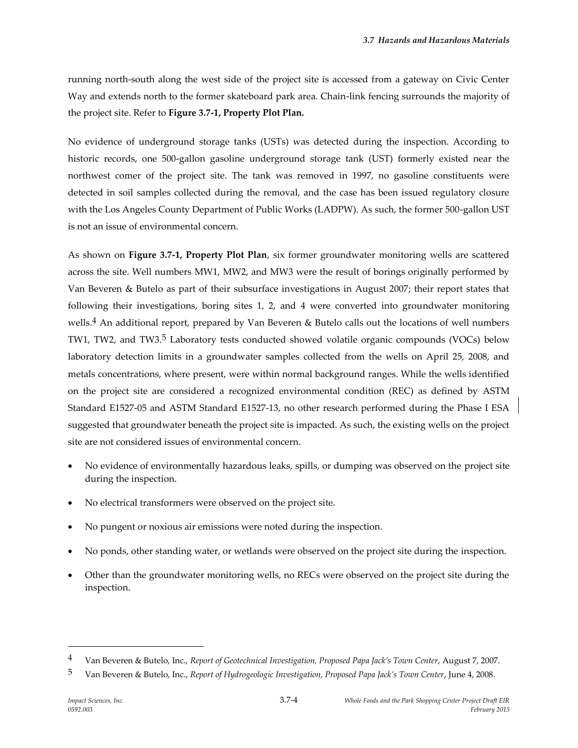running north-south along the west side of the project site is accessed from a gateway on Civic Center Way and extends north to the former skateboard park area. Chain-link fencing surrounds the majority of the project site. Refer to **Figure 3.7-1, Property Plot Plan.**

No evidence of underground storage tanks (USTs) was detected during the inspection. According to historic records, one 500-gallon gasoline underground storage tank (UST) formerly existed near the northwest comer of the project site. The tank was removed in 1997, no gasoline constituents were detected in soil samples collected during the removal, and the case has been issued regulatory closure with the Los Angeles County Department of Public Works (LADPW). As such, the former 500-gallon UST is not an issue of environmental concern.

As shown on **Figure 3.7-1, Property Plot Plan**, six former groundwater monitoring wells are scattered across the site. Well numbers MW1, MW2, and MW3 were the result of borings originally performed by Van Beveren & Butelo as part of their subsurface investigations in August 2007; their report states that following their investigations, boring sites 1, 2, and 4 were converted into groundwater monitoring wells.4 An additional report, prepared by Van Beveren & Butelo calls out the locations of well numbers TW1, TW2, and TW3.<sup>5</sup> Laboratory tests conducted showed volatile organic compounds (VOCs) below laboratory detection limits in a groundwater samples collected from the wells on April 25, 2008, and metals concentrations, where present, were within normal background ranges. While the wells identified on the project site are considered a recognized environmental condition (REC) as defined by ASTM Standard E1527-05 and ASTM Standard E1527-13, no other research performed during the Phase I ESA suggested that groundwater beneath the project site is impacted. As such, the existing wells on the project site are not considered issues of environmental concern.

- No evidence of environmentally hazardous leaks, spills, or dumping was observed on the project site during the inspection.
- No electrical transformers were observed on the project site.
- No pungent or noxious air emissions were noted during the inspection.
- No ponds, other standing water, or wetlands were observed on the project site during the inspection.
- Other than the groundwater monitoring wells, no RECs were observed on the project site during the inspection.

<sup>4</sup> Van Beveren & Butelo, Inc., *Report of Geotechnical Investigation, Proposed Papa Jack's Town Center*, August 7, 2007.

<sup>5</sup> Van Beveren & Butelo, Inc., *Report of Hydrogeologic Investigation, Proposed Papa Jack's Town Center*, June 4, 2008.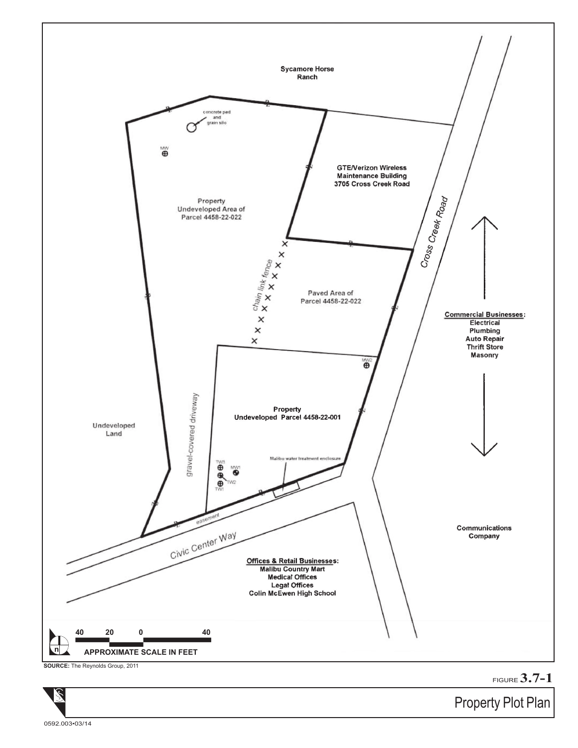

FIGURE **3.7-1**

Property Plot Plan

0592.003•03/14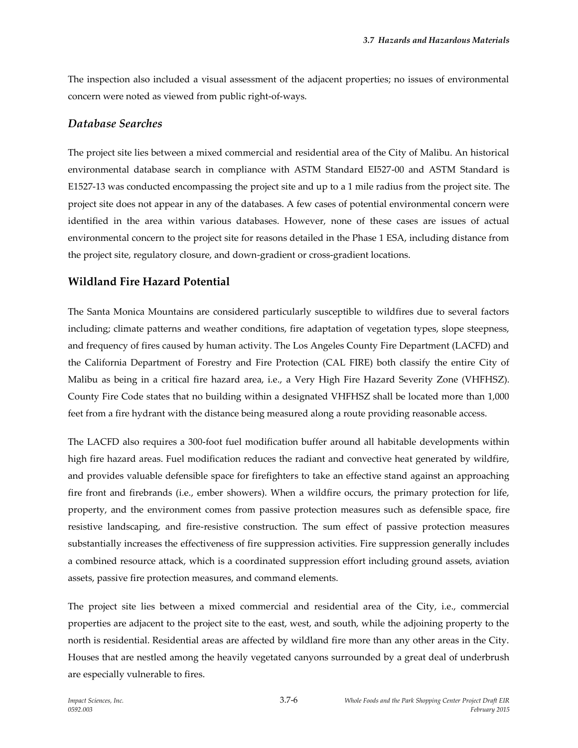The inspection also included a visual assessment of the adjacent properties; no issues of environmental concern were noted as viewed from public right-of-ways.

### *Database Searches*

The project site lies between a mixed commercial and residential area of the City of Malibu. An historical environmental database search in compliance with ASTM Standard EI527-00 and ASTM Standard is E1527-13 was conducted encompassing the project site and up to a 1 mile radius from the project site. The project site does not appear in any of the databases. A few cases of potential environmental concern were identified in the area within various databases. However, none of these cases are issues of actual environmental concern to the project site for reasons detailed in the Phase 1 ESA, including distance from the project site, regulatory closure, and down-gradient or cross-gradient locations.

### **Wildland Fire Hazard Potential**

The Santa Monica Mountains are considered particularly susceptible to wildfires due to several factors including; climate patterns and weather conditions, fire adaptation of vegetation types, slope steepness, and frequency of fires caused by human activity. The Los Angeles County Fire Department (LACFD) and the California Department of Forestry and Fire Protection (CAL FIRE) both classify the entire City of Malibu as being in a critical fire hazard area, i.e., a Very High Fire Hazard Severity Zone (VHFHSZ). County Fire Code states that no building within a designated VHFHSZ shall be located more than 1,000 feet from a fire hydrant with the distance being measured along a route providing reasonable access.

The LACFD also requires a 300-foot fuel modification buffer around all habitable developments within high fire hazard areas. Fuel modification reduces the radiant and convective heat generated by wildfire, and provides valuable defensible space for firefighters to take an effective stand against an approaching fire front and firebrands (i.e., ember showers). When a wildfire occurs, the primary protection for life, property, and the environment comes from passive protection measures such as defensible space, fire resistive landscaping, and fire-resistive construction. The sum effect of passive protection measures substantially increases the effectiveness of fire suppression activities. Fire suppression generally includes a combined resource attack, which is a coordinated suppression effort including ground assets, aviation assets, passive fire protection measures, and command elements.

The project site lies between a mixed commercial and residential area of the City, i.e., commercial properties are adjacent to the project site to the east, west, and south, while the adjoining property to the north is residential. Residential areas are affected by wildland fire more than any other areas in the City. Houses that are nestled among the heavily vegetated canyons surrounded by a great deal of underbrush are especially vulnerable to fires.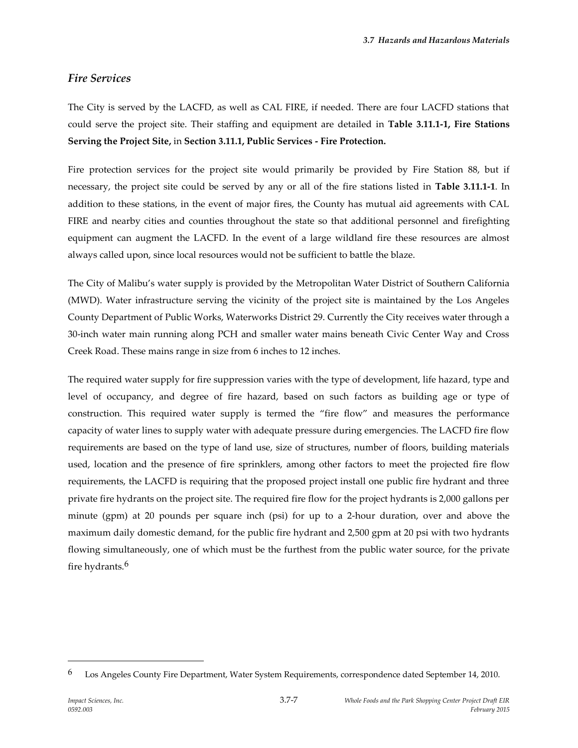# *Fire Services*

The City is served by the LACFD, as well as CAL FIRE, if needed. There are four LACFD stations that could serve the project site. Their staffing and equipment are detailed in **Table 3.11.1-1, Fire Stations Serving the Project Site,** in **Section 3.11.1, Public Services - Fire Protection.**

Fire protection services for the project site would primarily be provided by Fire Station 88, but if necessary, the project site could be served by any or all of the fire stations listed in **Table 3.11.1-1**. In addition to these stations, in the event of major fires, the County has mutual aid agreements with CAL FIRE and nearby cities and counties throughout the state so that additional personnel and firefighting equipment can augment the LACFD. In the event of a large wildland fire these resources are almost always called upon, since local resources would not be sufficient to battle the blaze.

The City of Malibu's water supply is provided by the Metropolitan Water District of Southern California (MWD). Water infrastructure serving the vicinity of the project site is maintained by the Los Angeles County Department of Public Works, Waterworks District 29. Currently the City receives water through a 30-inch water main running along PCH and smaller water mains beneath Civic Center Way and Cross Creek Road. These mains range in size from 6 inches to 12 inches.

The required water supply for fire suppression varies with the type of development, life hazard, type and level of occupancy, and degree of fire hazard, based on such factors as building age or type of construction. This required water supply is termed the "fire flow" and measures the performance capacity of water lines to supply water with adequate pressure during emergencies. The LACFD fire flow requirements are based on the type of land use, size of structures, number of floors, building materials used, location and the presence of fire sprinklers, among other factors to meet the projected fire flow requirements, the LACFD is requiring that the proposed project install one public fire hydrant and three private fire hydrants on the project site. The required fire flow for the project hydrants is 2,000 gallons per minute (gpm) at 20 pounds per square inch (psi) for up to a 2-hour duration, over and above the maximum daily domestic demand, for the public fire hydrant and 2,500 gpm at 20 psi with two hydrants flowing simultaneously, one of which must be the furthest from the public water source, for the private fire hydrants.6

<sup>6</sup> Los Angeles County Fire Department, Water System Requirements, correspondence dated September 14, 2010.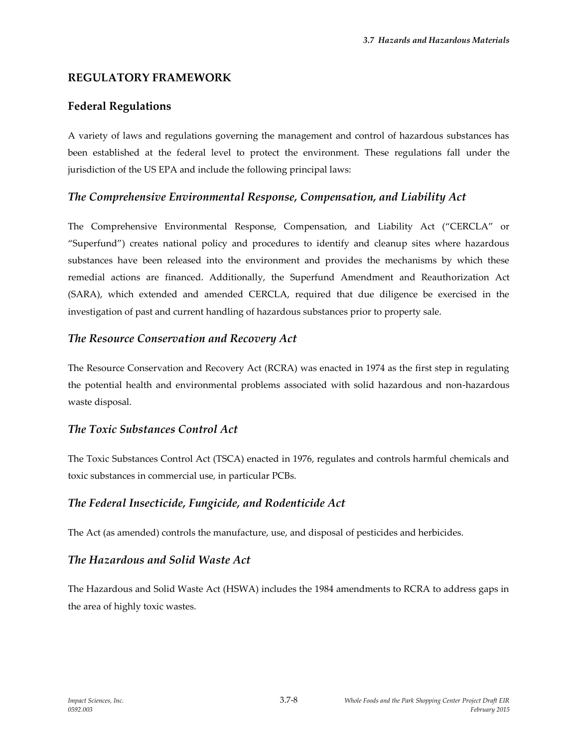### **REGULATORY FRAMEWORK**

### **Federal Regulations**

A variety of laws and regulations governing the management and control of hazardous substances has been established at the federal level to protect the environment. These regulations fall under the jurisdiction of the US EPA and include the following principal laws:

### *The Comprehensive Environmental Response, Compensation, and Liability Act*

The Comprehensive Environmental Response, Compensation, and Liability Act ("CERCLA" or "Superfund") creates national policy and procedures to identify and cleanup sites where hazardous substances have been released into the environment and provides the mechanisms by which these remedial actions are financed. Additionally, the Superfund Amendment and Reauthorization Act (SARA), which extended and amended CERCLA, required that due diligence be exercised in the investigation of past and current handling of hazardous substances prior to property sale.

### *The Resource Conservation and Recovery Act*

The Resource Conservation and Recovery Act (RCRA) was enacted in 1974 as the first step in regulating the potential health and environmental problems associated with solid hazardous and non-hazardous waste disposal.

# *The Toxic Substances Control Act*

The Toxic Substances Control Act (TSCA) enacted in 1976, regulates and controls harmful chemicals and toxic substances in commercial use, in particular PCBs.

### *The Federal Insecticide, Fungicide, and Rodenticide Act*

The Act (as amended) controls the manufacture, use, and disposal of pesticides and herbicides.

# *The Hazardous and Solid Waste Act*

The Hazardous and Solid Waste Act (HSWA) includes the 1984 amendments to RCRA to address gaps in the area of highly toxic wastes.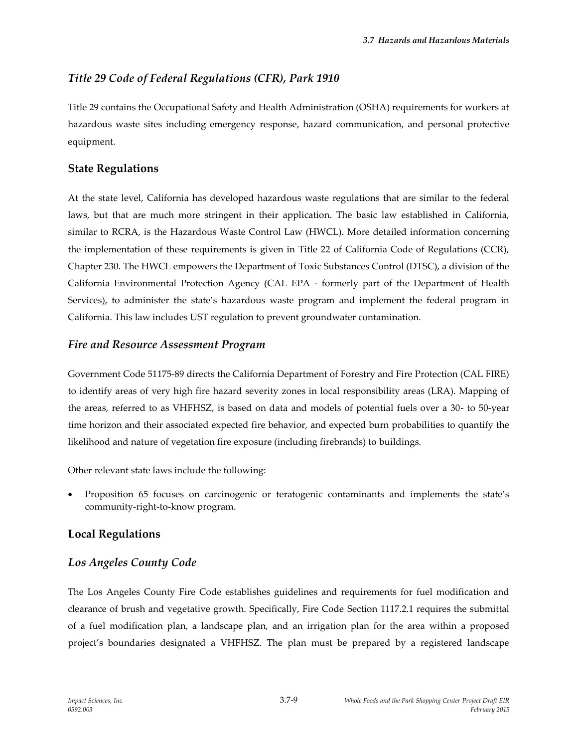# *Title 29 Code of Federal Regulations (CFR), Park 1910*

Title 29 contains the Occupational Safety and Health Administration (OSHA) requirements for workers at hazardous waste sites including emergency response, hazard communication, and personal protective equipment.

# **State Regulations**

At the state level, California has developed hazardous waste regulations that are similar to the federal laws, but that are much more stringent in their application. The basic law established in California, similar to RCRA, is the Hazardous Waste Control Law (HWCL). More detailed information concerning the implementation of these requirements is given in Title 22 of California Code of Regulations (CCR), Chapter 230. The HWCL empowers the Department of Toxic Substances Control (DTSC), a division of the California Environmental Protection Agency (CAL EPA - formerly part of the Department of Health Services), to administer the state's hazardous waste program and implement the federal program in California. This law includes UST regulation to prevent groundwater contamination.

# *Fire and Resource Assessment Program*

Government Code 51175-89 directs the California Department of Forestry and Fire Protection (CAL FIRE) to identify areas of very high fire hazard severity zones in local responsibility areas (LRA). Mapping of the areas, referred to as VHFHSZ, is based on data and models of potential fuels over a 30- to 50-year time horizon and their associated expected fire behavior, and expected burn probabilities to quantify the likelihood and nature of vegetation fire exposure (including firebrands) to buildings.

Other relevant state laws include the following:

 Proposition 65 focuses on carcinogenic or teratogenic contaminants and implements the state's community-right-to-know program.

# **Local Regulations**

# *Los Angeles County Code*

The Los Angeles County Fire Code establishes guidelines and requirements for fuel modification and clearance of brush and vegetative growth. Specifically, Fire Code Section 1117.2.1 requires the submittal of a fuel modification plan, a landscape plan, and an irrigation plan for the area within a proposed project's boundaries designated a VHFHSZ. The plan must be prepared by a registered landscape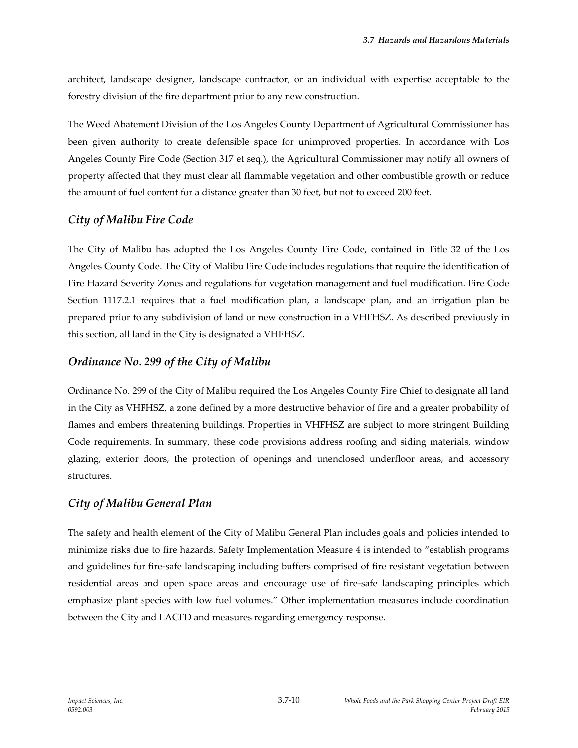architect, landscape designer, landscape contractor, or an individual with expertise acceptable to the forestry division of the fire department prior to any new construction.

The Weed Abatement Division of the Los Angeles County Department of Agricultural Commissioner has been given authority to create defensible space for unimproved properties. In accordance with Los Angeles County Fire Code (Section 317 et seq.), the Agricultural Commissioner may notify all owners of property affected that they must clear all flammable vegetation and other combustible growth or reduce the amount of fuel content for a distance greater than 30 feet, but not to exceed 200 feet.

### *City of Malibu Fire Code*

The City of Malibu has adopted the Los Angeles County Fire Code, contained in Title 32 of the Los Angeles County Code. The City of Malibu Fire Code includes regulations that require the identification of Fire Hazard Severity Zones and regulations for vegetation management and fuel modification. Fire Code Section 1117.2.1 requires that a fuel modification plan, a landscape plan, and an irrigation plan be prepared prior to any subdivision of land or new construction in a VHFHSZ. As described previously in this section, all land in the City is designated a VHFHSZ.

### *Ordinance No. 299 of the City of Malibu*

Ordinance No. 299 of the City of Malibu required the Los Angeles County Fire Chief to designate all land in the City as VHFHSZ, a zone defined by a more destructive behavior of fire and a greater probability of flames and embers threatening buildings. Properties in VHFHSZ are subject to more stringent Building Code requirements. In summary, these code provisions address roofing and siding materials, window glazing, exterior doors, the protection of openings and unenclosed underfloor areas, and accessory structures.

### *City of Malibu General Plan*

The safety and health element of the City of Malibu General Plan includes goals and policies intended to minimize risks due to fire hazards. Safety Implementation Measure 4 is intended to "establish programs and guidelines for fire-safe landscaping including buffers comprised of fire resistant vegetation between residential areas and open space areas and encourage use of fire-safe landscaping principles which emphasize plant species with low fuel volumes." Other implementation measures include coordination between the City and LACFD and measures regarding emergency response.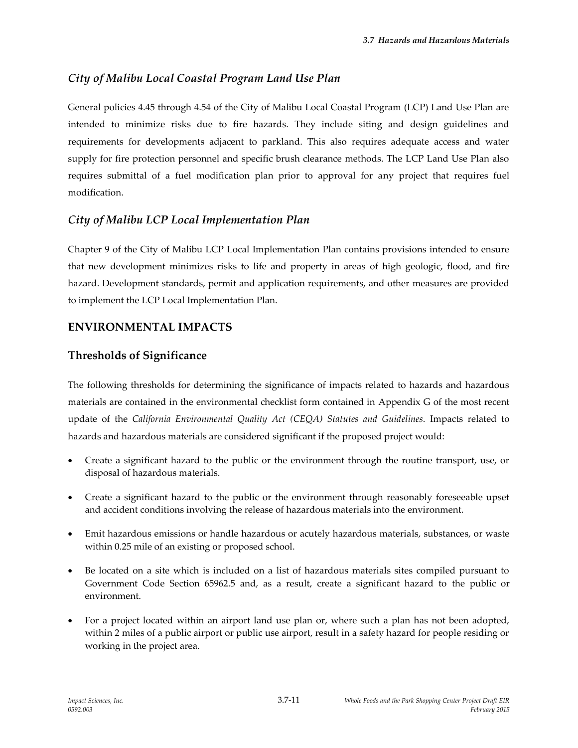# *City of Malibu Local Coastal Program Land Use Plan*

General policies 4.45 through 4.54 of the City of Malibu Local Coastal Program (LCP) Land Use Plan are intended to minimize risks due to fire hazards. They include siting and design guidelines and requirements for developments adjacent to parkland. This also requires adequate access and water supply for fire protection personnel and specific brush clearance methods. The LCP Land Use Plan also requires submittal of a fuel modification plan prior to approval for any project that requires fuel modification.

# *City of Malibu LCP Local Implementation Plan*

Chapter 9 of the City of Malibu LCP Local Implementation Plan contains provisions intended to ensure that new development minimizes risks to life and property in areas of high geologic, flood, and fire hazard. Development standards, permit and application requirements, and other measures are provided to implement the LCP Local Implementation Plan.

# **ENVIRONMENTAL IMPACTS**

### **Thresholds of Significance**

The following thresholds for determining the significance of impacts related to hazards and hazardous materials are contained in the environmental checklist form contained in Appendix G of the most recent update of the *California Environmental Quality Act (CEQA) Statutes and Guidelines*. Impacts related to hazards and hazardous materials are considered significant if the proposed project would:

- Create a significant hazard to the public or the environment through the routine transport, use, or disposal of hazardous materials.
- Create a significant hazard to the public or the environment through reasonably foreseeable upset and accident conditions involving the release of hazardous materials into the environment.
- Emit hazardous emissions or handle hazardous or acutely hazardous materials, substances, or waste within 0.25 mile of an existing or proposed school.
- Be located on a site which is included on a list of hazardous materials sites compiled pursuant to Government Code Section 65962.5 and, as a result, create a significant hazard to the public or environment.
- For a project located within an airport land use plan or, where such a plan has not been adopted, within 2 miles of a public airport or public use airport, result in a safety hazard for people residing or working in the project area.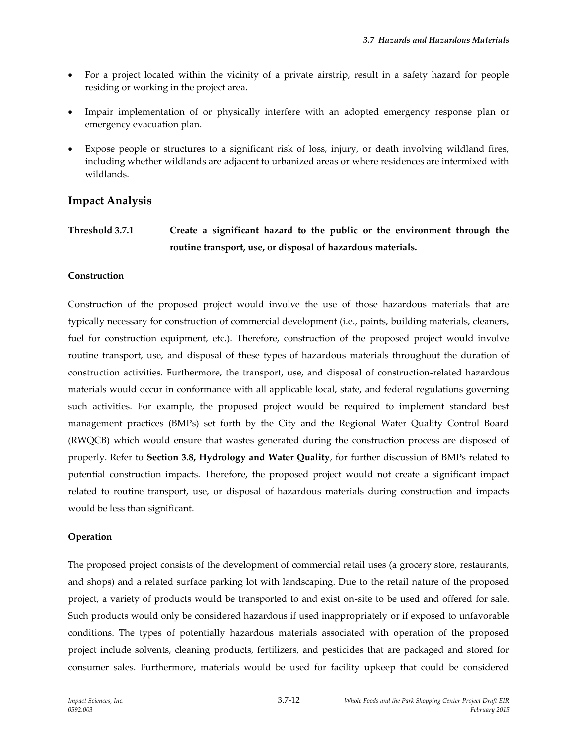- For a project located within the vicinity of a private airstrip, result in a safety hazard for people residing or working in the project area.
- Impair implementation of or physically interfere with an adopted emergency response plan or emergency evacuation plan.
- Expose people or structures to a significant risk of loss, injury, or death involving wildland fires, including whether wildlands are adjacent to urbanized areas or where residences are intermixed with wildlands.

### **Impact Analysis**

**Threshold 3.7.1 Create a significant hazard to the public or the environment through the routine transport, use, or disposal of hazardous materials.**

#### **Construction**

Construction of the proposed project would involve the use of those hazardous materials that are typically necessary for construction of commercial development (i.e., paints, building materials, cleaners, fuel for construction equipment, etc.). Therefore, construction of the proposed project would involve routine transport, use, and disposal of these types of hazardous materials throughout the duration of construction activities. Furthermore, the transport, use, and disposal of construction-related hazardous materials would occur in conformance with all applicable local, state, and federal regulations governing such activities. For example, the proposed project would be required to implement standard best management practices (BMPs) set forth by the City and the Regional Water Quality Control Board (RWQCB) which would ensure that wastes generated during the construction process are disposed of properly. Refer to **Section 3.8, Hydrology and Water Quality**, for further discussion of BMPs related to potential construction impacts. Therefore, the proposed project would not create a significant impact related to routine transport, use, or disposal of hazardous materials during construction and impacts would be less than significant.

#### **Operation**

The proposed project consists of the development of commercial retail uses (a grocery store, restaurants, and shops) and a related surface parking lot with landscaping. Due to the retail nature of the proposed project, a variety of products would be transported to and exist on-site to be used and offered for sale. Such products would only be considered hazardous if used inappropriately or if exposed to unfavorable conditions. The types of potentially hazardous materials associated with operation of the proposed project include solvents, cleaning products, fertilizers, and pesticides that are packaged and stored for consumer sales. Furthermore, materials would be used for facility upkeep that could be considered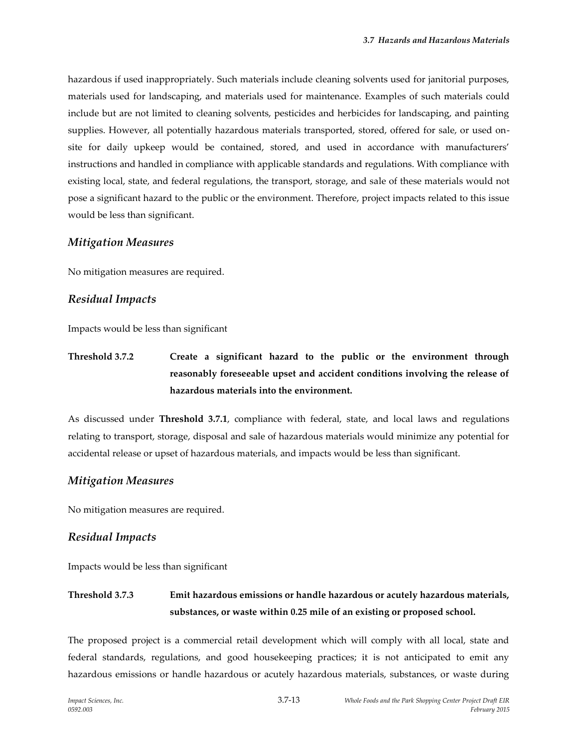hazardous if used inappropriately. Such materials include cleaning solvents used for janitorial purposes, materials used for landscaping, and materials used for maintenance. Examples of such materials could include but are not limited to cleaning solvents, pesticides and herbicides for landscaping, and painting supplies. However, all potentially hazardous materials transported, stored, offered for sale, or used onsite for daily upkeep would be contained, stored, and used in accordance with manufacturers' instructions and handled in compliance with applicable standards and regulations. With compliance with existing local, state, and federal regulations, the transport, storage, and sale of these materials would not pose a significant hazard to the public or the environment. Therefore, project impacts related to this issue would be less than significant.

#### *Mitigation Measures*

No mitigation measures are required.

#### *Residual Impacts*

Impacts would be less than significant

**Threshold 3.7.2 Create a significant hazard to the public or the environment through reasonably foreseeable upset and accident conditions involving the release of hazardous materials into the environment.**

As discussed under **Threshold 3.7.1**, compliance with federal, state, and local laws and regulations relating to transport, storage, disposal and sale of hazardous materials would minimize any potential for accidental release or upset of hazardous materials, and impacts would be less than significant.

#### *Mitigation Measures*

No mitigation measures are required.

#### *Residual Impacts*

Impacts would be less than significant

# **Threshold 3.7.3 Emit hazardous emissions or handle hazardous or acutely hazardous materials, substances, or waste within 0.25 mile of an existing or proposed school.**

The proposed project is a commercial retail development which will comply with all local, state and federal standards, regulations, and good housekeeping practices; it is not anticipated to emit any hazardous emissions or handle hazardous or acutely hazardous materials, substances, or waste during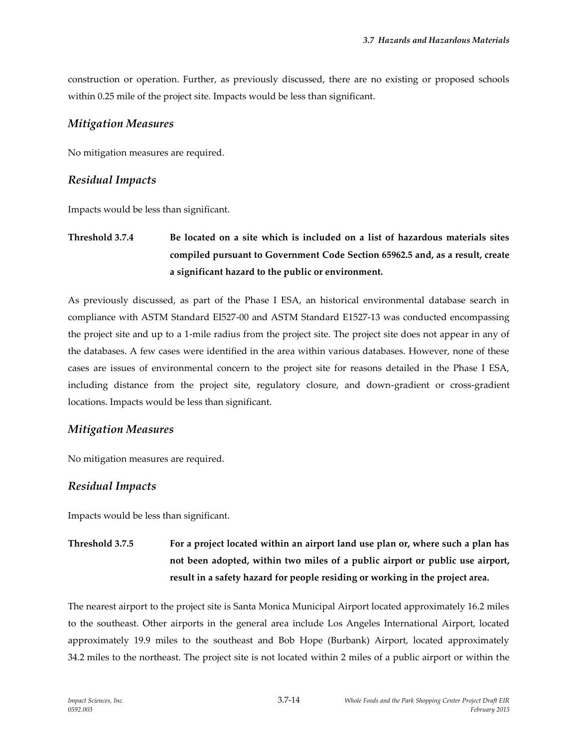construction or operation. Further, as previously discussed, there are no existing or proposed schools within 0.25 mile of the project site. Impacts would be less than significant.

#### *Mitigation Measures*

No mitigation measures are required.

### *Residual Impacts*

Impacts would be less than significant.

**Threshold 3.7.4 Be located on a site which is included on a list of hazardous materials sites compiled pursuant to Government Code Section 65962.5 and, as a result, create a significant hazard to the public or environment.**

As previously discussed, as part of the Phase I ESA, an historical environmental database search in compliance with ASTM Standard EI527-00 and ASTM Standard E1527-13 was conducted encompassing the project site and up to a 1-mile radius from the project site. The project site does not appear in any of the databases. A few cases were identified in the area within various databases. However, none of these cases are issues of environmental concern to the project site for reasons detailed in the Phase I ESA, including distance from the project site, regulatory closure, and down-gradient or cross-gradient locations. Impacts would be less than significant.

### *Mitigation Measures*

No mitigation measures are required.

### *Residual Impacts*

Impacts would be less than significant.

**Threshold 3.7.5 For a project located within an airport land use plan or, where such a plan has not been adopted, within two miles of a public airport or public use airport, result in a safety hazard for people residing or working in the project area.**

The nearest airport to the project site is Santa Monica Municipal Airport located approximately 16.2 miles to the southeast. Other airports in the general area include Los Angeles International Airport, located approximately 19.9 miles to the southeast and Bob Hope (Burbank) Airport, located approximately 34.2 miles to the northeast. The project site is not located within 2 miles of a public airport or within the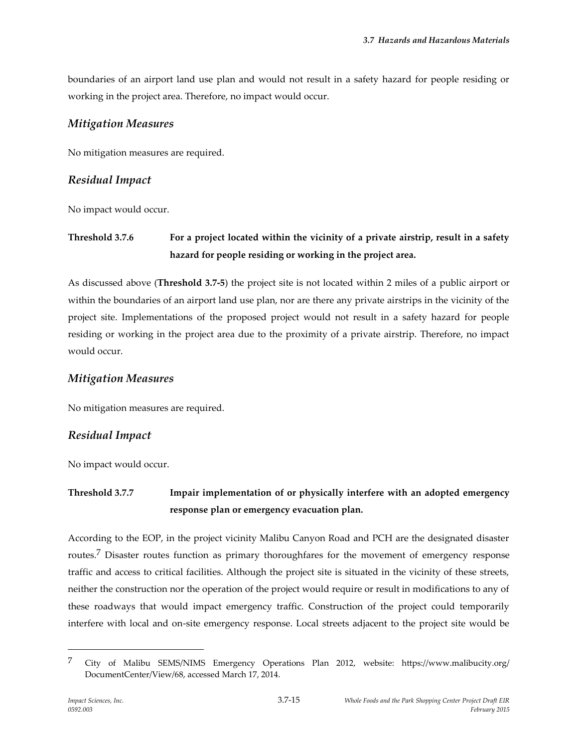boundaries of an airport land use plan and would not result in a safety hazard for people residing or working in the project area. Therefore, no impact would occur.

### *Mitigation Measures*

No mitigation measures are required.

### *Residual Impact*

No impact would occur.

# **Threshold 3.7.6 For a project located within the vicinity of a private airstrip, result in a safety hazard for people residing or working in the project area.**

As discussed above (**Threshold 3.7-5**) the project site is not located within 2 miles of a public airport or within the boundaries of an airport land use plan, nor are there any private airstrips in the vicinity of the project site. Implementations of the proposed project would not result in a safety hazard for people residing or working in the project area due to the proximity of a private airstrip. Therefore, no impact would occur.

### *Mitigation Measures*

No mitigation measures are required.

# *Residual Impact*

No impact would occur.

# **Threshold 3.7.7 Impair implementation of or physically interfere with an adopted emergency response plan or emergency evacuation plan.**

According to the EOP, in the project vicinity Malibu Canyon Road and PCH are the designated disaster routes.7 Disaster routes function as primary thoroughfares for the movement of emergency response traffic and access to critical facilities. Although the project site is situated in the vicinity of these streets, neither the construction nor the operation of the project would require or result in modifications to any of these roadways that would impact emergency traffic. Construction of the project could temporarily interfere with local and on-site emergency response. Local streets adjacent to the project site would be

<sup>7</sup> City of Malibu SEMS/NIMS Emergency Operations Plan 2012, website: [https://www.malibucity.org/](https://www.malibucity.org/DocumentCenter/View/68) [DocumentCenter/View/68,](https://www.malibucity.org/DocumentCenter/View/68) accessed March 17, 2014.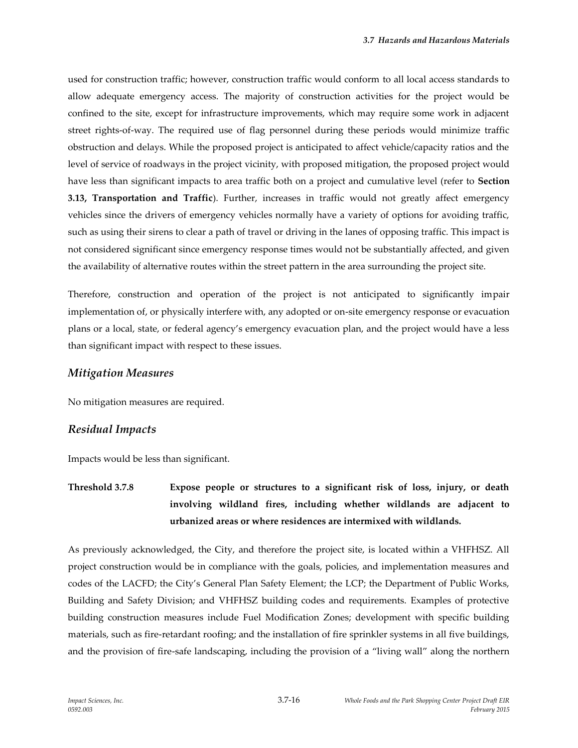used for construction traffic; however, construction traffic would conform to all local access standards to allow adequate emergency access. The majority of construction activities for the project would be confined to the site, except for infrastructure improvements, which may require some work in adjacent street rights-of-way. The required use of flag personnel during these periods would minimize traffic obstruction and delays. While the proposed project is anticipated to affect vehicle/capacity ratios and the level of service of roadways in the project vicinity, with proposed mitigation, the proposed project would have less than significant impacts to area traffic both on a project and cumulative level (refer to **Section 3.13, Transportation and Traffic**). Further, increases in traffic would not greatly affect emergency vehicles since the drivers of emergency vehicles normally have a variety of options for avoiding traffic, such as using their sirens to clear a path of travel or driving in the lanes of opposing traffic. This impact is not considered significant since emergency response times would not be substantially affected, and given the availability of alternative routes within the street pattern in the area surrounding the project site.

Therefore, construction and operation of the project is not anticipated to significantly impair implementation of, or physically interfere with, any adopted or on-site emergency response or evacuation plans or a local, state, or federal agency's emergency evacuation plan, and the project would have a less than significant impact with respect to these issues.

#### *Mitigation Measures*

No mitigation measures are required.

#### *Residual Impacts*

Impacts would be less than significant.

**Threshold 3.7.8 Expose people or structures to a significant risk of loss, injury, or death involving wildland fires, including whether wildlands are adjacent to urbanized areas or where residences are intermixed with wildlands.**

As previously acknowledged, the City, and therefore the project site, is located within a VHFHSZ. All project construction would be in compliance with the goals, policies, and implementation measures and codes of the LACFD; the City's General Plan Safety Element; the LCP; the Department of Public Works, Building and Safety Division; and VHFHSZ building codes and requirements. Examples of protective building construction measures include Fuel Modification Zones; development with specific building materials, such as fire-retardant roofing; and the installation of fire sprinkler systems in all five buildings, and the provision of fire-safe landscaping, including the provision of a "living wall" along the northern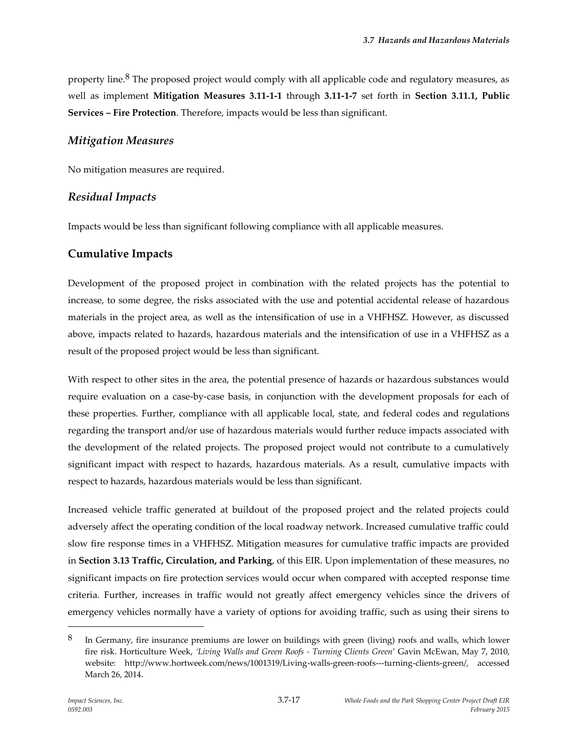property line.<sup>8</sup> The proposed project would comply with all applicable code and regulatory measures, as well as implement **Mitigation Measures 3.11-1-1** through **3.11-1-7** set forth in **Section 3.11.1, Public Services – Fire Protection**. Therefore, impacts would be less than significant.

### *Mitigation Measures*

No mitigation measures are required.

### *Residual Impacts*

Impacts would be less than significant following compliance with all applicable measures.

### **Cumulative Impacts**

Development of the proposed project in combination with the related projects has the potential to increase, to some degree, the risks associated with the use and potential accidental release of hazardous materials in the project area, as well as the intensification of use in a VHFHSZ. However, as discussed above, impacts related to hazards, hazardous materials and the intensification of use in a VHFHSZ as a result of the proposed project would be less than significant.

With respect to other sites in the area, the potential presence of hazards or hazardous substances would require evaluation on a case-by-case basis, in conjunction with the development proposals for each of these properties. Further, compliance with all applicable local, state, and federal codes and regulations regarding the transport and/or use of hazardous materials would further reduce impacts associated with the development of the related projects. The proposed project would not contribute to a cumulatively significant impact with respect to hazards, hazardous materials. As a result, cumulative impacts with respect to hazards, hazardous materials would be less than significant.

Increased vehicle traffic generated at buildout of the proposed project and the related projects could adversely affect the operating condition of the local roadway network. Increased cumulative traffic could slow fire response times in a VHFHSZ. Mitigation measures for cumulative traffic impacts are provided in **Section 3.13 Traffic, Circulation, and Parking**, of this EIR. Upon implementation of these measures, no significant impacts on fire protection services would occur when compared with accepted response time criteria. Further, increases in traffic would not greatly affect emergency vehicles since the drivers of emergency vehicles normally have a variety of options for avoiding traffic, such as using their sirens to

<sup>8</sup> In Germany, fire insurance premiums are lower on buildings with green (living) roofs and walls, which lower fire risk. Horticulture Week, *'Living Walls and Green Roofs - Turning Clients Green*' Gavin McEwan, May 7, 2010, website: http://www.hortweek.com/news/1001319/Living-walls-green-roofs---turning-clients-green/, accessed March 26, 2014.